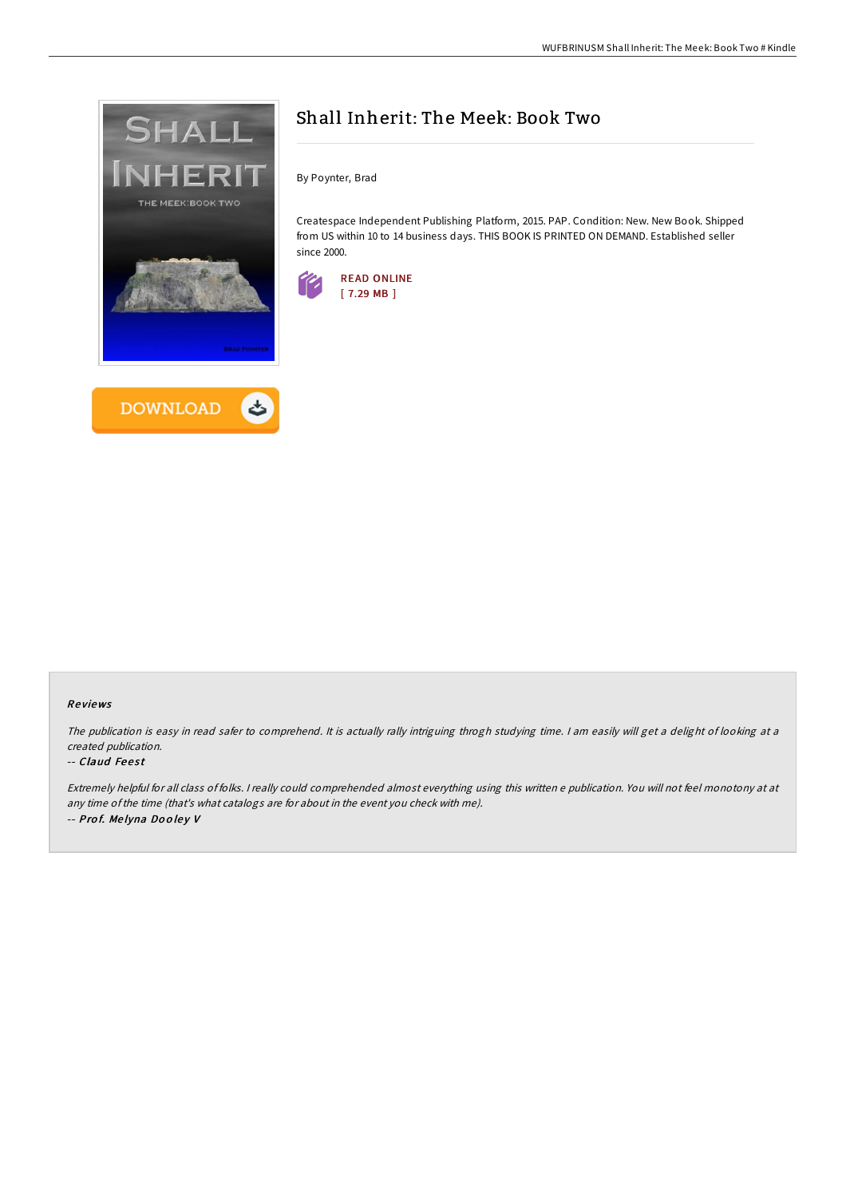



# Shall Inherit: The Meek: Book Two

By Poynter, Brad

Createspace Independent Publishing Platform, 2015. PAP. Condition: New. New Book. Shipped from US within 10 to 14 business days. THIS BOOK IS PRINTED ON DEMAND. Established seller since 2000.



### Re views

The publication is easy in read safer to comprehend. It is actually rally intriguing throgh studying time. I am easily will get a delight of looking at a created publication.

#### -- Claud Feest

Extremely helpful for all class of folks. <sup>I</sup> really could comprehended almost everything using this written <sup>e</sup> publication. You will not feel monotony at at any time ofthe time (that's what catalogs are for about in the event you check with me). -- Prof. Melyna Dooley V